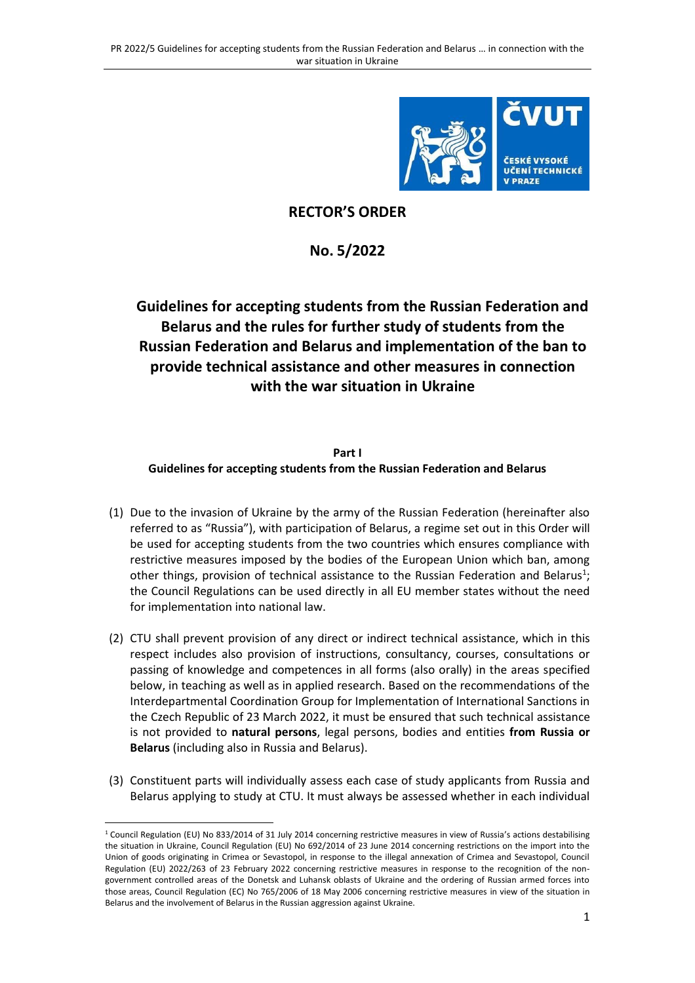

## **RECTOR'S ORDER**

**No. 5/2022**

# **Guidelines for accepting students from the Russian Federation and Belarus and the rules for further study of students from the Russian Federation and Belarus and implementation of the ban to provide technical assistance and other measures in connection with the war situation in Ukraine**

#### **Part I Guidelines for accepting students from the Russian Federation and Belarus**

- (1) Due to the invasion of Ukraine by the army of the Russian Federation (hereinafter also referred to as "Russia"), with participation of Belarus, a regime set out in this Order will be used for accepting students from the two countries which ensures compliance with restrictive measures imposed by the bodies of the European Union which ban, among other things, provision of technical assistance to the Russian Federation and Belarus<sup>1</sup>; the Council Regulations can be used directly in all EU member states without the need for implementation into national law.
- (2) CTU shall prevent provision of any direct or indirect technical assistance, which in this respect includes also provision of instructions, consultancy, courses, consultations or passing of knowledge and competences in all forms (also orally) in the areas specified below, in teaching as well as in applied research. Based on the recommendations of the Interdepartmental Coordination Group for Implementation of International Sanctions in the Czech Republic of 23 March 2022, it must be ensured that such technical assistance is not provided to **natural persons**, legal persons, bodies and entities **from Russia or Belarus** (including also in Russia and Belarus).
- (3) Constituent parts will individually assess each case of study applicants from Russia and Belarus applying to study at CTU. It must always be assessed whether in each individual

 $\overline{\phantom{a}}$ 

<sup>1</sup> Council Regulation (EU) No 833/2014 of 31 July 2014 concerning restrictive measures in view of Russia's actions destabilising the situation in Ukraine, Council Regulation (EU) No 692/2014 of 23 June 2014 concerning restrictions on the import into the Union of goods originating in Crimea or Sevastopol, in response to the illegal annexation of Crimea and Sevastopol, Council Regulation (EU) 2022/263 of 23 February 2022 concerning restrictive measures in response to the recognition of the nongovernment controlled areas of the Donetsk and Luhansk oblasts of Ukraine and the ordering of Russian armed forces into those areas, Council Regulation (EC) No 765/2006 of 18 May 2006 concerning restrictive measures in view of the situation in Belarus and the involvement of Belarus in the Russian aggression against Ukraine.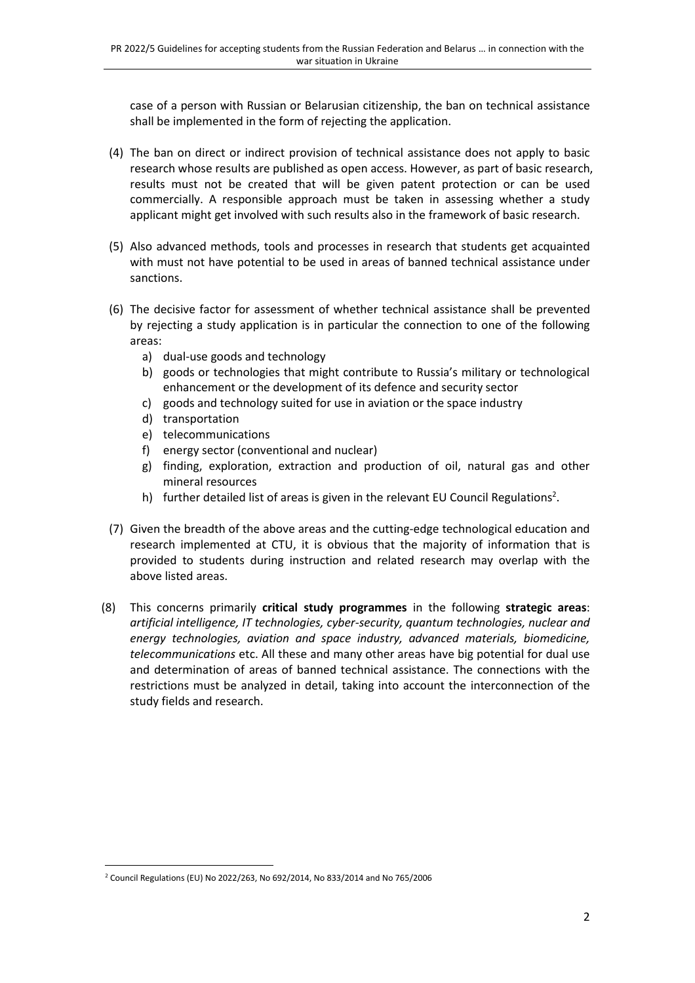case of a person with Russian or Belarusian citizenship, the ban on technical assistance shall be implemented in the form of rejecting the application.

- (4) The ban on direct or indirect provision of technical assistance does not apply to basic research whose results are published as open access. However, as part of basic research, results must not be created that will be given patent protection or can be used commercially. A responsible approach must be taken in assessing whether a study applicant might get involved with such results also in the framework of basic research.
- (5) Also advanced methods, tools and processes in research that students get acquainted with must not have potential to be used in areas of banned technical assistance under sanctions.
- (6) The decisive factor for assessment of whether technical assistance shall be prevented by rejecting a study application is in particular the connection to one of the following areas:
	- a) dual-use goods and technology
	- b) goods or technologies that might contribute to Russia's military or technological enhancement or the development of its defence and security sector
	- c) goods and technology suited for use in aviation or the space industry
	- d) transportation
	- e) telecommunications
	- f) energy sector (conventional and nuclear)
	- g) finding, exploration, extraction and production of oil, natural gas and other mineral resources
	- h) further detailed list of areas is given in the relevant EU Council Regulations<sup>2</sup>.
- (7) Given the breadth of the above areas and the cutting-edge technological education and research implemented at CTU, it is obvious that the majority of information that is provided to students during instruction and related research may overlap with the above listed areas.
- (8) This concerns primarily **critical study programmes** in the following **strategic areas**: *artificial intelligence, IT technologies, cyber-security, quantum technologies, nuclear and energy technologies, aviation and space industry, advanced materials, biomedicine, telecommunications* etc. All these and many other areas have big potential for dual use and determination of areas of banned technical assistance. The connections with the restrictions must be analyzed in detail, taking into account the interconnection of the study fields and research.

 $\overline{\phantom{a}}$ <sup>2</sup> Council Regulations (EU) No 2022/263, No 692/2014, No 833/2014 and No 765/2006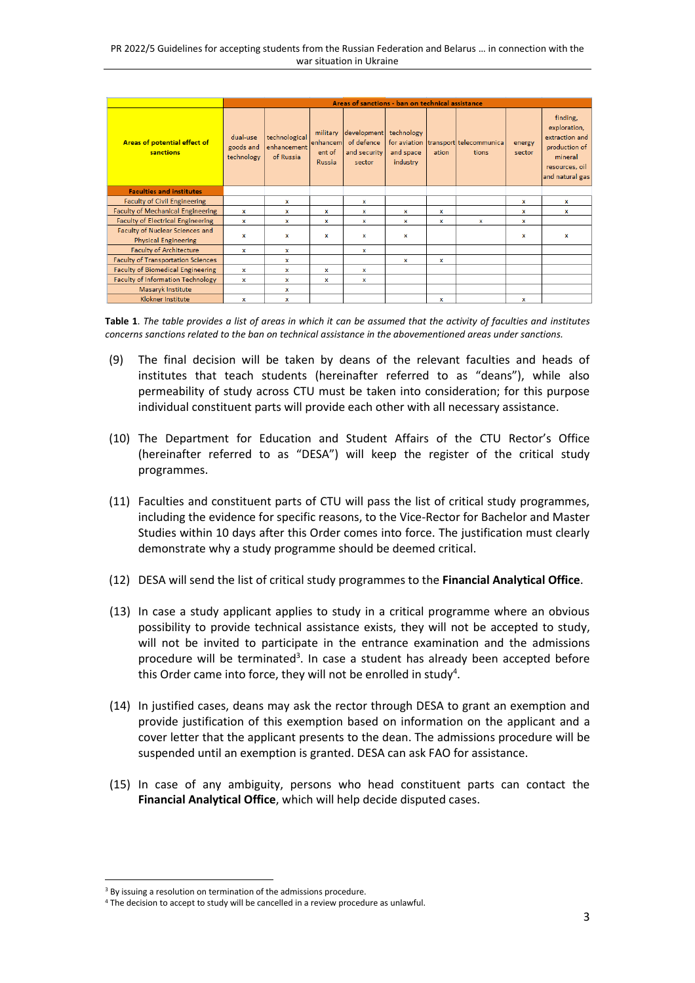|                                                                | Areas of sanctions - ban on technical assistance |                                           |                                          |                                                     |                                     |                           |                                               |                  |                                                                                                             |
|----------------------------------------------------------------|--------------------------------------------------|-------------------------------------------|------------------------------------------|-----------------------------------------------------|-------------------------------------|---------------------------|-----------------------------------------------|------------------|-------------------------------------------------------------------------------------------------------------|
| Areas of potential effect of<br>sanctions                      | dual-use<br>goods and<br>technology              | technological<br>enhancement<br>of Russia | military<br>enhancem<br>ent of<br>Russia | development<br>of defence<br>and security<br>sector | technology<br>and space<br>industry | ation                     | for aviation transport telecommunica<br>tions | energy<br>sector | finding,<br>exploration,<br>extraction and<br>production of<br>mineral<br>resources, oil<br>and natural gas |
| <b>Faculties and institutes</b>                                |                                                  |                                           |                                          |                                                     |                                     |                           |                                               |                  |                                                                                                             |
| <b>Faculty of Civil Engineering</b>                            |                                                  | x                                         |                                          | x                                                   |                                     |                           |                                               | ×                | x                                                                                                           |
| <b>Faculty of Mechanical Engineering</b>                       | $\mathbf x$                                      | ×                                         | ×                                        | $\mathbf x$                                         | ×                                   | $\boldsymbol{\mathsf{x}}$ |                                               | ×                | ×                                                                                                           |
| <b>Faculty of Electrical Engineering</b>                       | ×                                                | x                                         | ×                                        | x                                                   | ×                                   | X                         | $\mathsf{x}$                                  | x                |                                                                                                             |
| Faculty of Nuclear Sciences and<br><b>Physical Engineering</b> | $\mathbf x$                                      | $\mathbf x$                               | x                                        | $\mathbf x$                                         | x                                   |                           |                                               | x                | $\mathbf{x}$                                                                                                |
| <b>Faculty of Architecture</b>                                 | x                                                | x                                         |                                          | x                                                   |                                     |                           |                                               |                  |                                                                                                             |
| <b>Faculty of Transportation Sciences</b>                      |                                                  | x                                         |                                          |                                                     | x                                   | x                         |                                               |                  |                                                                                                             |
| <b>Faculty of Biomedical Engineering</b>                       | $\mathbf{x}$                                     | x                                         | $\mathsf{x}$                             | $\mathbf x$                                         |                                     |                           |                                               |                  |                                                                                                             |
| <b>Faculty of Information Technology</b>                       | x                                                | x                                         | ×                                        | x                                                   |                                     |                           |                                               |                  |                                                                                                             |
| Masaryk Institute                                              |                                                  | x                                         |                                          |                                                     |                                     |                           |                                               |                  |                                                                                                             |
| <b>Klokner Institute</b>                                       | x                                                | x                                         |                                          |                                                     |                                     | ×                         |                                               | x                |                                                                                                             |

**Table 1**. *The table provides a list of areas in which it can be assumed that the activity of faculties and institutes concerns sanctions related to the ban on technical assistance in the abovementioned areas under sanctions.*

- (9) The final decision will be taken by deans of the relevant faculties and heads of institutes that teach students (hereinafter referred to as "deans"), while also permeability of study across CTU must be taken into consideration; for this purpose individual constituent parts will provide each other with all necessary assistance.
- (10) The Department for Education and Student Affairs of the CTU Rector's Office (hereinafter referred to as "DESA") will keep the register of the critical study programmes.
- (11) Faculties and constituent parts of CTU will pass the list of critical study programmes, including the evidence for specific reasons, to the Vice-Rector for Bachelor and Master Studies within 10 days after this Order comes into force. The justification must clearly demonstrate why a study programme should be deemed critical.
- (12) DESA will send the list of critical study programmes to the **Financial Analytical Office**.
- (13) In case a study applicant applies to study in a critical programme where an obvious possibility to provide technical assistance exists, they will not be accepted to study, will not be invited to participate in the entrance examination and the admissions procedure will be terminated<sup>3</sup>. In case a student has already been accepted before this Order came into force, they will not be enrolled in study<sup>4</sup>.
- (14) In justified cases, deans may ask the rector through DESA to grant an exemption and provide justification of this exemption based on information on the applicant and a cover letter that the applicant presents to the dean. The admissions procedure will be suspended until an exemption is granted. DESA can ask FAO for assistance.
- (15) In case of any ambiguity, persons who head constituent parts can contact the **Financial Analytical Office**, which will help decide disputed cases.

 $\overline{\phantom{a}}$ 

<sup>&</sup>lt;sup>3</sup> By issuing a resolution on termination of the admissions procedure.

<sup>4</sup> The decision to accept to study will be cancelled in a review procedure as unlawful.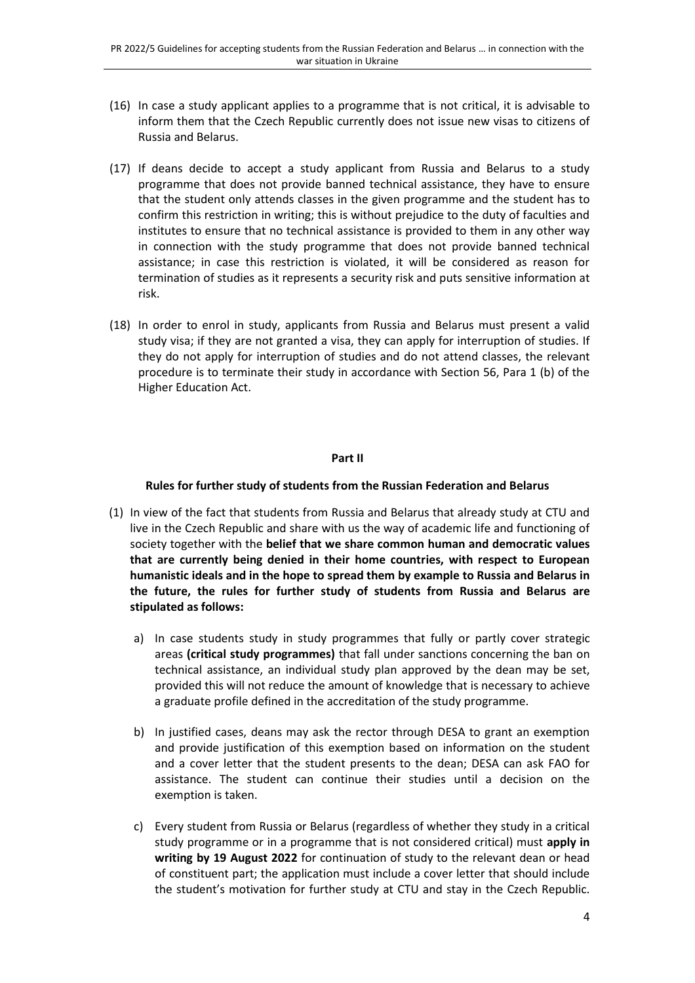- (16) In case a study applicant applies to a programme that is not critical, it is advisable to inform them that the Czech Republic currently does not issue new visas to citizens of Russia and Belarus.
- (17) If deans decide to accept a study applicant from Russia and Belarus to a study programme that does not provide banned technical assistance, they have to ensure that the student only attends classes in the given programme and the student has to confirm this restriction in writing; this is without prejudice to the duty of faculties and institutes to ensure that no technical assistance is provided to them in any other way in connection with the study programme that does not provide banned technical assistance; in case this restriction is violated, it will be considered as reason for termination of studies as it represents a security risk and puts sensitive information at risk.
- (18) In order to enrol in study, applicants from Russia and Belarus must present a valid study visa; if they are not granted a visa, they can apply for interruption of studies. If they do not apply for interruption of studies and do not attend classes, the relevant procedure is to terminate their study in accordance with Section 56, Para 1 (b) of the Higher Education Act.

#### **Part II**

#### **Rules for further study of students from the Russian Federation and Belarus**

- (1) In view of the fact that students from Russia and Belarus that already study at CTU and live in the Czech Republic and share with us the way of academic life and functioning of society together with the **belief that we share common human and democratic values that are currently being denied in their home countries, with respect to European humanistic ideals and in the hope to spread them by example to Russia and Belarus in the future, the rules for further study of students from Russia and Belarus are stipulated as follows:**
	- a) In case students study in study programmes that fully or partly cover strategic areas **(critical study programmes)** that fall under sanctions concerning the ban on technical assistance, an individual study plan approved by the dean may be set, provided this will not reduce the amount of knowledge that is necessary to achieve a graduate profile defined in the accreditation of the study programme.
	- b) In justified cases, deans may ask the rector through DESA to grant an exemption and provide justification of this exemption based on information on the student and a cover letter that the student presents to the dean; DESA can ask FAO for assistance. The student can continue their studies until a decision on the exemption is taken.
	- c) Every student from Russia or Belarus (regardless of whether they study in a critical study programme or in a programme that is not considered critical) must **apply in writing by 19 August 2022** for continuation of study to the relevant dean or head of constituent part; the application must include a cover letter that should include the student's motivation for further study at CTU and stay in the Czech Republic.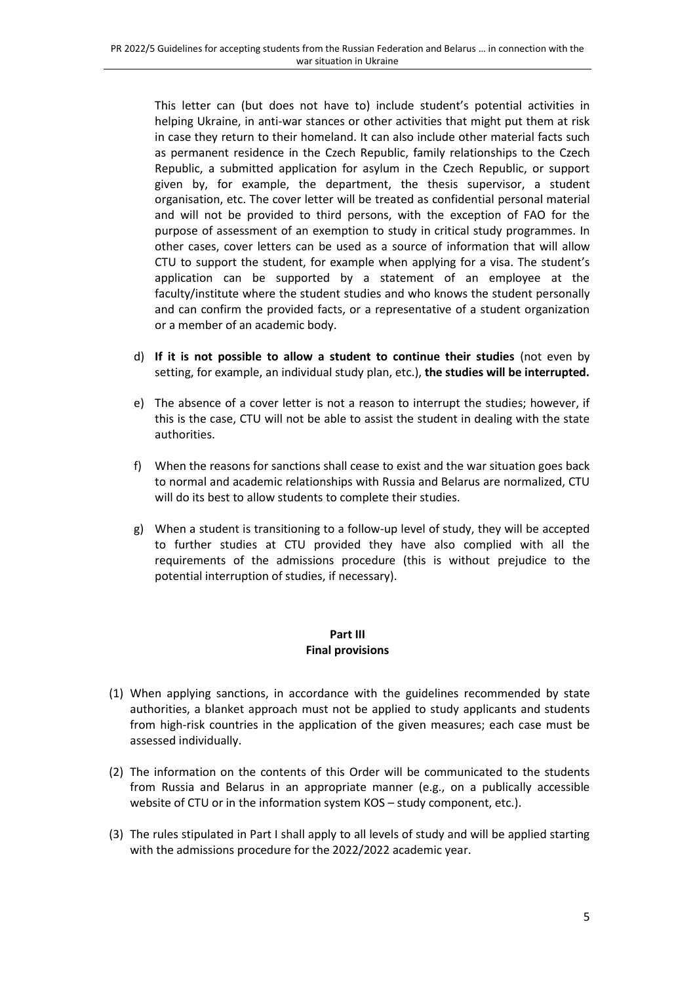This letter can (but does not have to) include student's potential activities in helping Ukraine, in anti-war stances or other activities that might put them at risk in case they return to their homeland. It can also include other material facts such as permanent residence in the Czech Republic, family relationships to the Czech Republic, a submitted application for asylum in the Czech Republic, or support given by, for example, the department, the thesis supervisor, a student organisation, etc. The cover letter will be treated as confidential personal material and will not be provided to third persons, with the exception of FAO for the purpose of assessment of an exemption to study in critical study programmes. In other cases, cover letters can be used as a source of information that will allow CTU to support the student, for example when applying for a visa. The student's application can be supported by a statement of an employee at the faculty/institute where the student studies and who knows the student personally and can confirm the provided facts, or a representative of a student organization or a member of an academic body.

- d) **If it is not possible to allow a student to continue their studies** (not even by setting, for example, an individual study plan, etc.), **the studies will be interrupted.**
- e) The absence of a cover letter is not a reason to interrupt the studies; however, if this is the case, CTU will not be able to assist the student in dealing with the state authorities.
- f) When the reasons for sanctions shall cease to exist and the war situation goes back to normal and academic relationships with Russia and Belarus are normalized, CTU will do its best to allow students to complete their studies.
- g) When a student is transitioning to a follow-up level of study, they will be accepted to further studies at CTU provided they have also complied with all the requirements of the admissions procedure (this is without prejudice to the potential interruption of studies, if necessary).

### **Part III Final provisions**

- (1) When applying sanctions, in accordance with the guidelines recommended by state authorities, a blanket approach must not be applied to study applicants and students from high-risk countries in the application of the given measures; each case must be assessed individually.
- (2) The information on the contents of this Order will be communicated to the students from Russia and Belarus in an appropriate manner (e.g., on a publically accessible website of CTU or in the information system KOS – study component, etc.).
- (3) The rules stipulated in Part I shall apply to all levels of study and will be applied starting with the admissions procedure for the 2022/2022 academic year.